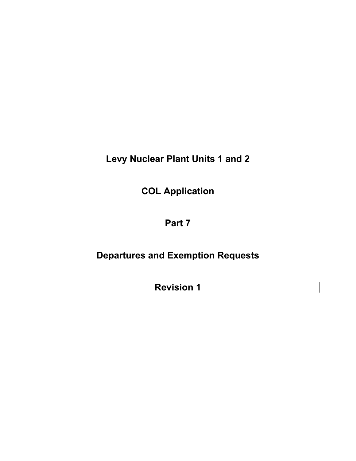**Levy Nuclear Plant Units 1 and 2** 

**COL Application** 

# **Part 7**

# **Departures and Exemption Requests**

**Revision 1**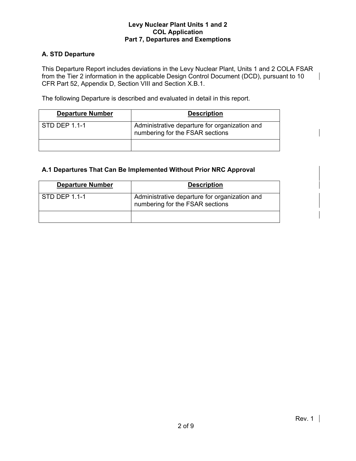## **A. STD Departure**

This Departure Report includes deviations in the Levy Nuclear Plant, Units 1 and 2 COLA FSAR from the Tier 2 information in the applicable Design Control Document (DCD), pursuant to 10  $\mathcal{A}$ CFR Part 52, Appendix D, Section VIII and Section X.B.1.

The following Departure is described and evaluated in detail in this report.

| <b>Departure Number</b> | <b>Description</b>                                                               |
|-------------------------|----------------------------------------------------------------------------------|
| STD DEP 1.1-1           | Administrative departure for organization and<br>numbering for the FSAR sections |
|                         |                                                                                  |

## **A.1 Departures That Can Be Implemented Without Prior NRC Approval**

| <b>Departure Number</b> | <b>Description</b>                                                               |
|-------------------------|----------------------------------------------------------------------------------|
| STD DEP 1.1-1           | Administrative departure for organization and<br>numbering for the FSAR sections |
|                         |                                                                                  |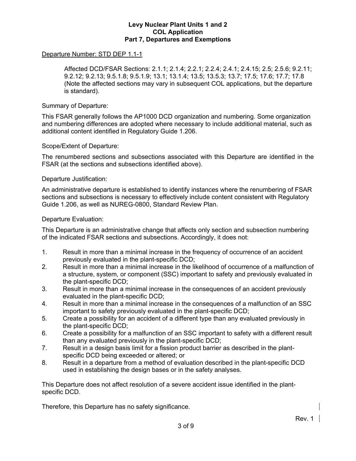### Departure Number: STD DEP 1.1-1

 Affected DCD/FSAR Sections: 2.1.1; 2.1.4; 2.2.1; 2.2.4; 2.4.1; 2.4.15; 2.5; 2.5.6; 9.2.11; 9.2.12; 9.2.13; 9.5.1.8; 9.5.1.9; 13.1; 13.1.4; 13.5; 13.5.3; 13.7; 17.5; 17.6; 17.7; 17.8 (Note the affected sections may vary in subsequent COL applications, but the departure is standard).

#### Summary of Departure:

This FSAR generally follows the AP1000 DCD organization and numbering. Some organization and numbering differences are adopted where necessary to include additional material, such as additional content identified in Regulatory Guide 1.206.

#### Scope/Extent of Departure:

The renumbered sections and subsections associated with this Departure are identified in the FSAR (at the sections and subsections identified above).

#### Departure Justification:

An administrative departure is established to identify instances where the renumbering of FSAR sections and subsections is necessary to effectively include content consistent with Regulatory Guide 1.206, as well as NUREG-0800, Standard Review Plan.

#### Departure Evaluation:

This Departure is an administrative change that affects only section and subsection numbering of the indicated FSAR sections and subsections. Accordingly, it does not:

- 1. Result in more than a minimal increase in the frequency of occurrence of an accident previously evaluated in the plant-specific DCD;
- 2. Result in more than a minimal increase in the likelihood of occurrence of a malfunction of a structure, system, or component (SSC) important to safety and previously evaluated in the plant-specific DCD;
- 3. Result in more than a minimal increase in the consequences of an accident previously evaluated in the plant-specific DCD;
- 4. Result in more than a minimal increase in the consequences of a malfunction of an SSC important to safety previously evaluated in the plant-specific DCD;
- 5. Create a possibility for an accident of a different type than any evaluated previously in the plant-specific DCD;
- 6. Create a possibility for a malfunction of an SSC important to safety with a different result than any evaluated previously in the plant-specific DCD;
- 7. Result in a design basis limit for a fission product barrier as described in the plantspecific DCD being exceeded or altered; or
- 8. Result in a departure from a method of evaluation described in the plant-specific DCD used in establishing the design bases or in the safety analyses.

This Departure does not affect resolution of a severe accident issue identified in the plantspecific DCD.

Therefore, this Departure has no safety significance.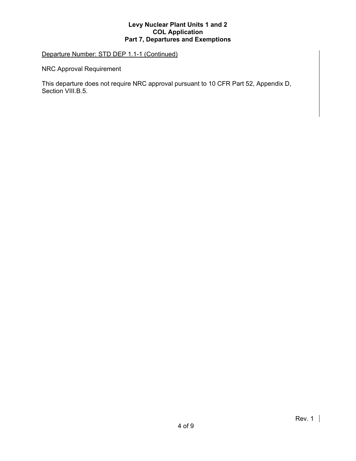## Departure Number: STD DEP 1.1-1 (Continued)

NRC Approval Requirement

This departure does not require NRC approval pursuant to 10 CFR Part 52, Appendix D, Section VIII.B.5.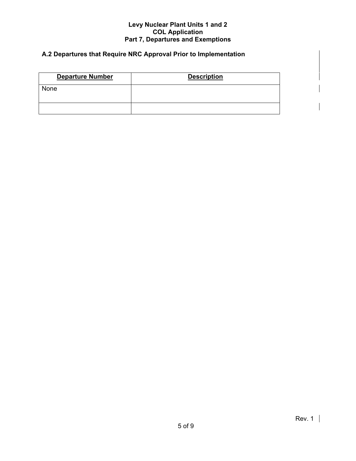## **A.2 Departures that Require NRC Approval Prior to Implementation**

| <b>Departure Number</b> | <b>Description</b> |
|-------------------------|--------------------|
| None                    |                    |
|                         |                    |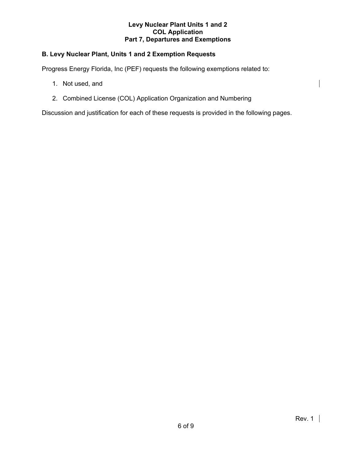## **B. Levy Nuclear Plant, Units 1 and 2 Exemption Requests**

Progress Energy Florida, Inc (PEF) requests the following exemptions related to:

- 1. Not used, and
- 2. Combined License (COL) Application Organization and Numbering

Discussion and justification for each of these requests is provided in the following pages.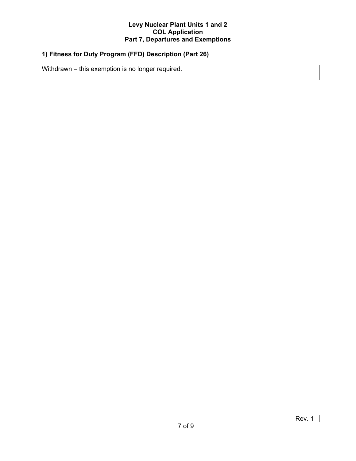## **1) Fitness for Duty Program (FFD) Description (Part 26)**

Withdrawn – this exemption is no longer required.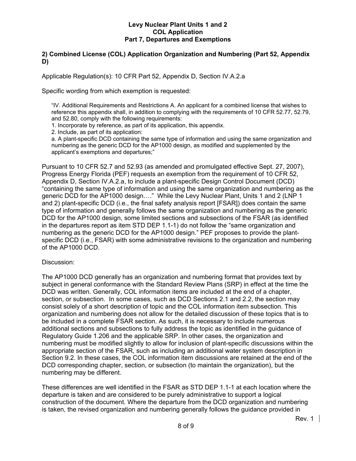## **2) Combined License (COL) Application Organization and Numbering (Part 52, Appendix D)**

Applicable Regulation(s): 10 CFR Part 52, Appendix D, Section IV.A.2.a

Specific wording from which exemption is requested:

"IV. Additional Requirements and Restrictions A. An applicant for a combined license that wishes to reference this appendix shall, in addition to complying with the requirements of 10 CFR 52.77, 52.79, and 52.80, comply with the following requirements:

1. Incorporate by reference, as part of its application, this appendix.

2. Include, as part of its application:

a. A plant-specific DCD containing the same type of information and using the same organization and numbering as the generic DCD for the AP1000 design, as modified and supplemented by the applicant's exemptions and departures;"

Pursuant to 10 CFR 52.7 and 52.93 (as amended and promulgated effective Sept. 27, 2007), Progress Energy Florida (PEF) requests an exemption from the requirement of 10 CFR 52, Appendix D, Section IV.A.2.a, to include a plant-specific Design Control Document (DCD) "containing the same type of information and using the same organization and numbering as the generic DCD for the AP1000 design…." While the Levy Nuclear Plant, Units 1 and 2 (LNP 1 and 2) plant-specific DCD (i.e., the final safety analysis report [FSAR]) does contain the same type of information and generally follows the same organization and numbering as the generic DCD for the AP1000 design, some limited sections and subsections of the FSAR (as identified in the departures report as item STD DEP 1.1-1) do not follow the "same organization and numbering as the generic DCD for the AP1000 design." PEF proposes to provide the plantspecific DCD (i.e., FSAR) with some administrative revisions to the organization and numbering of the AP1000 DCD.

#### Discussion:

The AP1000 DCD generally has an organization and numbering format that provides text by subject in general conformance with the Standard Review Plans (SRP) in effect at the time the DCD was written. Generally, COL information items are included at the end of a chapter, section, or subsection. In some cases, such as DCD Sections 2.1 and 2.2, the section may consist solely of a short description of topic and the COL information item subsection. This organization and numbering does not allow for the detailed discussion of these topics that is to be included in a complete FSAR section. As such, it is necessary to include numerous additional sections and subsections to fully address the topic as identified in the guidance of Regulatory Guide 1.206 and the applicable SRP. In other cases, the organization and numbering must be modified slightly to allow for inclusion of plant-specific discussions within the appropriate section of the FSAR, such as including an additional water system description in Section 9.2. In these cases, the COL information item discussions are retained at the end of the DCD corresponding chapter, section, or subsection (to maintain the organization), but the numbering may be different.

These differences are well identified in the FSAR as STD DEP 1.1-1 at each location where the departure is taken and are considered to be purely administrative to support a logical construction of the document. Where the departure from the DCD organization and numbering is taken, the revised organization and numbering generally follows the guidance provided in